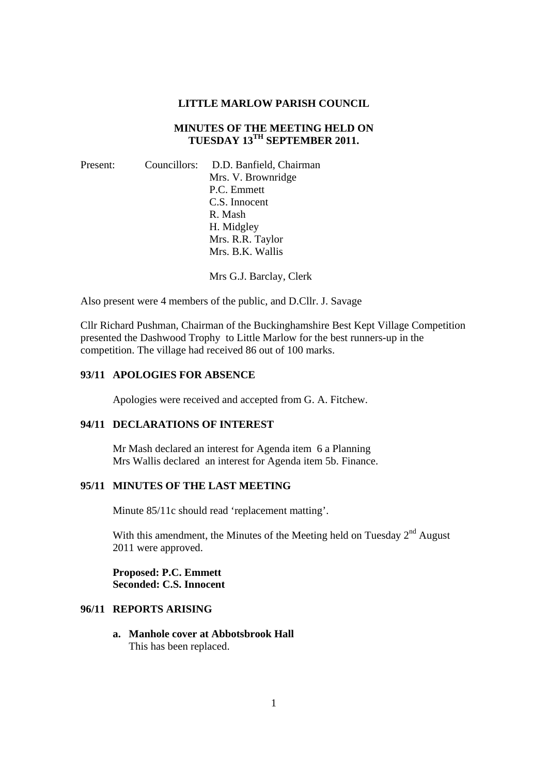#### **LITTLE MARLOW PARISH COUNCIL**

# **MINUTES OF THE MEETING HELD ON TUESDAY 13TH SEPTEMBER 2011.**

| Present: |  | Councillors: D.D. Banfield, Chairman |
|----------|--|--------------------------------------|
|          |  | Mrs. V. Brownridge                   |
|          |  | P.C. Emmett                          |
|          |  | C.S. Innocent                        |
|          |  | R. Mash                              |
|          |  | H. Midgley                           |
|          |  | Mrs. R.R. Taylor                     |
|          |  | Mrs. B.K. Wallis                     |
|          |  |                                      |

Mrs G.J. Barclay, Clerk

Also present were 4 members of the public, and D.Cllr. J. Savage

Cllr Richard Pushman, Chairman of the Buckinghamshire Best Kept Village Competition presented the Dashwood Trophy to Little Marlow for the best runners-up in the competition. The village had received 86 out of 100 marks.

### **93/11 APOLOGIES FOR ABSENCE**

Apologies were received and accepted from G. A. Fitchew.

## **94/11 DECLARATIONS OF INTEREST**

Mr Mash declared an interest for Agenda item 6 a Planning Mrs Wallis declared an interest for Agenda item 5b. Finance.

### **95/11 MINUTES OF THE LAST MEETING**

Minute 85/11c should read 'replacement matting'.

With this amendment, the Minutes of the Meeting held on Tuesday  $2<sup>nd</sup>$  August 2011 were approved.

**Proposed: P.C. Emmett Seconded: C.S. Innocent** 

## **96/11 REPORTS ARISING**

**a. Manhole cover at Abbotsbrook Hall**  This has been replaced.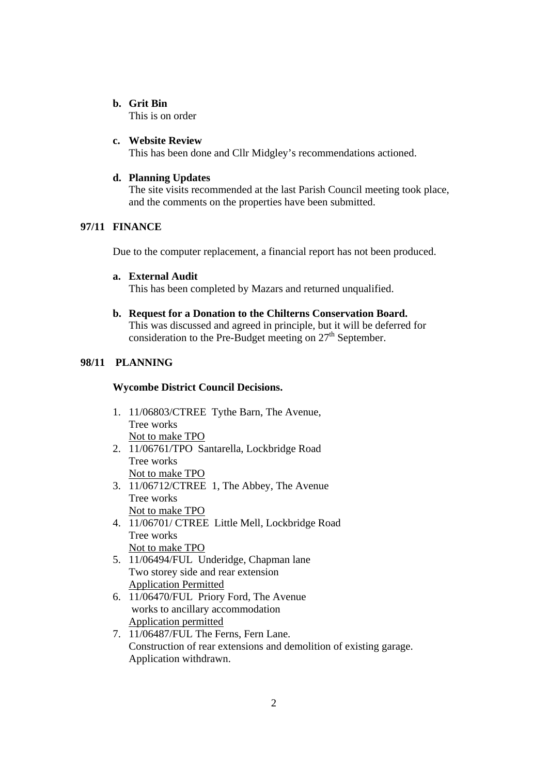### **b. Grit Bin**

This is on order

### **c. Website Review**

This has been done and Cllr Midgley's recommendations actioned.

## **d. Planning Updates**

The site visits recommended at the last Parish Council meeting took place, and the comments on the properties have been submitted.

# **97/11 FINANCE**

Due to the computer replacement, a financial report has not been produced.

## **a. External Audit**

This has been completed by Mazars and returned unqualified.

### **b. Request for a Donation to the Chilterns Conservation Board.**  This was discussed and agreed in principle, but it will be deferred for

consideration to the Pre-Budget meeting on  $27<sup>th</sup>$  September.

# **98/11 PLANNING**

## **Wycombe District Council Decisions.**

- 1. 11/06803/CTREE Tythe Barn, The Avenue, Tree works Not to make TPO
- 2. 11/06761/TPO Santarella, Lockbridge Road Tree works Not to make TPO
- 3. 11/06712/CTREE 1, The Abbey, The Avenue Tree works Not to make TPO
- 4. 11/06701/ CTREE Little Mell, Lockbridge Road Tree works Not to make TPO
- 5. 11/06494/FUL Underidge, Chapman lane Two storey side and rear extension Application Permitted
- 6. 11/06470/FUL Priory Ford, The Avenue works to ancillary accommodation Application permitted
- 7. 11/06487/FUL The Ferns, Fern Lane. Construction of rear extensions and demolition of existing garage. Application withdrawn.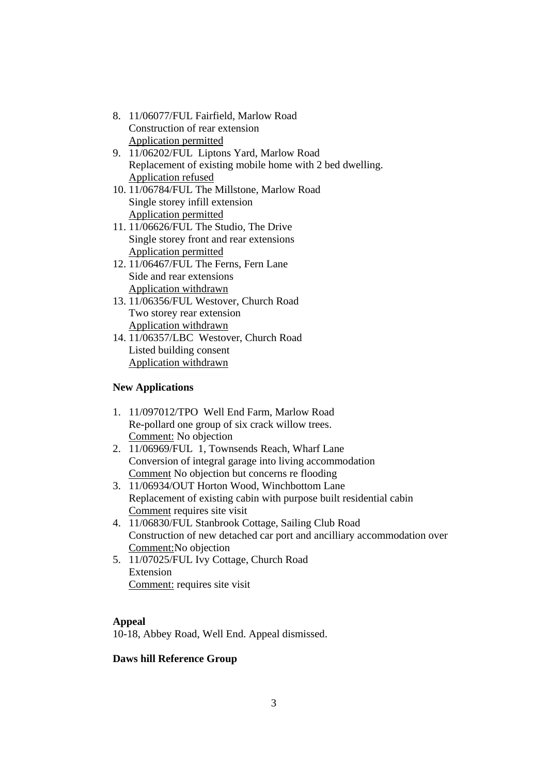- 8. 11/06077/FUL Fairfield, Marlow Road Construction of rear extension Application permitted
- 9. 11/06202/FUL Liptons Yard, Marlow Road Replacement of existing mobile home with 2 bed dwelling. Application refused
- 10. 11/06784/FUL The Millstone, Marlow Road Single storey infill extension Application permitted
- 11. 11/06626/FUL The Studio, The Drive Single storey front and rear extensions Application permitted
- 12. 11/06467/FUL The Ferns, Fern Lane Side and rear extensions Application withdrawn
- 13. 11/06356/FUL Westover, Church Road Two storey rear extension Application withdrawn
- 14. 11/06357/LBC Westover, Church Road Listed building consent Application withdrawn

# **New Applications**

- 1. 11/097012/TPO Well End Farm, Marlow Road Re-pollard one group of six crack willow trees. Comment: No objection
- 2. 11/06969/FUL 1, Townsends Reach, Wharf Lane Conversion of integral garage into living accommodation Comment No objection but concerns re flooding
- 3. 11/06934/OUT Horton Wood, Winchbottom Lane Replacement of existing cabin with purpose built residential cabin Comment requires site visit
- 4. 11/06830/FUL Stanbrook Cottage, Sailing Club Road Construction of new detached car port and ancilliary accommodation over Comment:No objection
- 5. 11/07025/FUL Ivy Cottage, Church Road Extension Comment: requires site visit

# **Appeal**

10-18, Abbey Road, Well End. Appeal dismissed.

# **Daws hill Reference Group**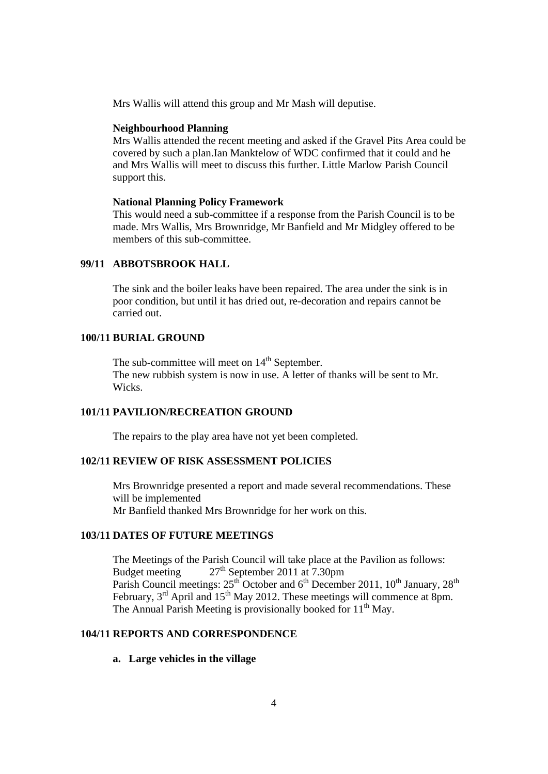Mrs Wallis will attend this group and Mr Mash will deputise.

#### **Neighbourhood Planning**

Mrs Wallis attended the recent meeting and asked if the Gravel Pits Area could be covered by such a plan.Ian Manktelow of WDC confirmed that it could and he and Mrs Wallis will meet to discuss this further. Little Marlow Parish Council support this.

#### **National Planning Policy Framework**

This would need a sub-committee if a response from the Parish Council is to be made. Mrs Wallis, Mrs Brownridge, Mr Banfield and Mr Midgley offered to be members of this sub-committee.

### **99/11 ABBOTSBROOK HALL**

The sink and the boiler leaks have been repaired. The area under the sink is in poor condition, but until it has dried out, re-decoration and repairs cannot be carried out.

### **100/11 BURIAL GROUND**

The sub-committee will meet on  $14<sup>th</sup>$  September. The new rubbish system is now in use. A letter of thanks will be sent to Mr. Wicks.

# **101/11 PAVILION/RECREATION GROUND**

The repairs to the play area have not yet been completed.

## **102/11 REVIEW OF RISK ASSESSMENT POLICIES**

Mrs Brownridge presented a report and made several recommendations. These will be implemented Mr Banfield thanked Mrs Brownridge for her work on this.

### **103/11 DATES OF FUTURE MEETINGS**

The Meetings of the Parish Council will take place at the Pavilion as follows: Budget meeting  $27<sup>th</sup>$  September 2011 at 7.30pm Parish Council meetings:  $25^{th}$  October and  $6^{th}$  December 2011,  $10^{th}$  January,  $28^{th}$ February, 3<sup>rd</sup> April and 15<sup>th</sup> May 2012. These meetings will commence at 8pm. The Annual Parish Meeting is provisionally booked for  $11<sup>th</sup>$  May.

# **104/11 REPORTS AND CORRESPONDENCE**

**a. Large vehicles in the village**